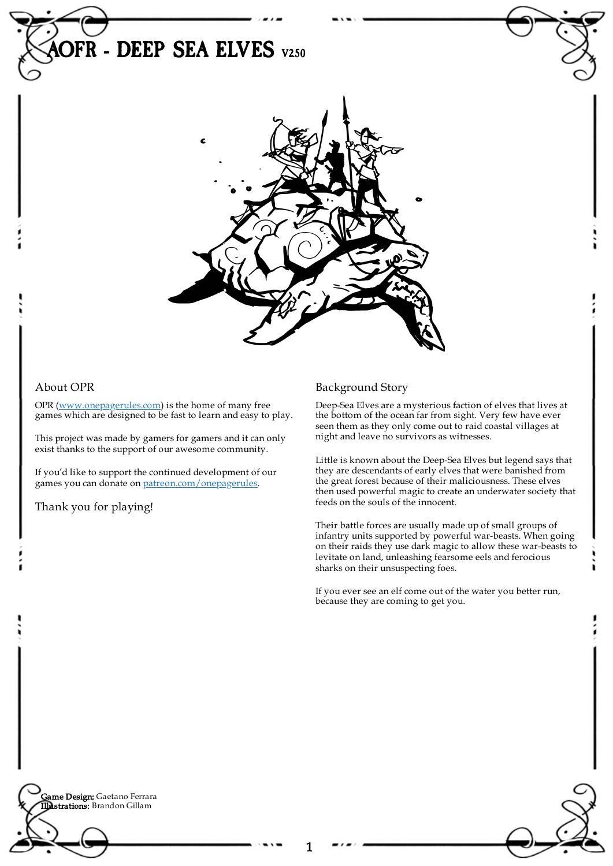

1

## About OPR

OPR [\(www.onepagerules.com](https://webapp.onepagerules.com/army-books/view/L1zCkfmeAongLj1X~6/https//www.onepagerules.com)) is the home of many free games which are designed to be fast to learn and easy to play.

This project was made by gamers for gamers and it can only exist thanks to the support of our awesome community.

If you'd like to support the continued development of our games you can donate on [patreon.com/onepagerules](https://www.patreon.com/onepagerules).

Thank you for playing!

## Background Story

Deep-Sea Elves are a mysterious faction of elves that lives at the bottom of the ocean far from sight. Very few have ever seen them as they only come out to raid coastal villages at night and leave no survivors as witnesses.

Little is known about the Deep-Sea Elves but legend says that they are descendants of early elves that were banished from the great forest because of their maliciousness. These elves then used powerful magic to create an underwater society that feeds on the souls of the innocent.

Their battle forces are usually made up of small groups of infantry units supported by powerful war-beasts. When going on their raids they use dark magic to allow these war-beasts to levitate on land, unleashing fearsome eels and ferocious sharks on their unsuspecting foes.

If you ever see an elf come out of the water you better run, because they are coming to get you.

**Game Design:** Gaetano Ferrara Illustrations: Brandon Gillam